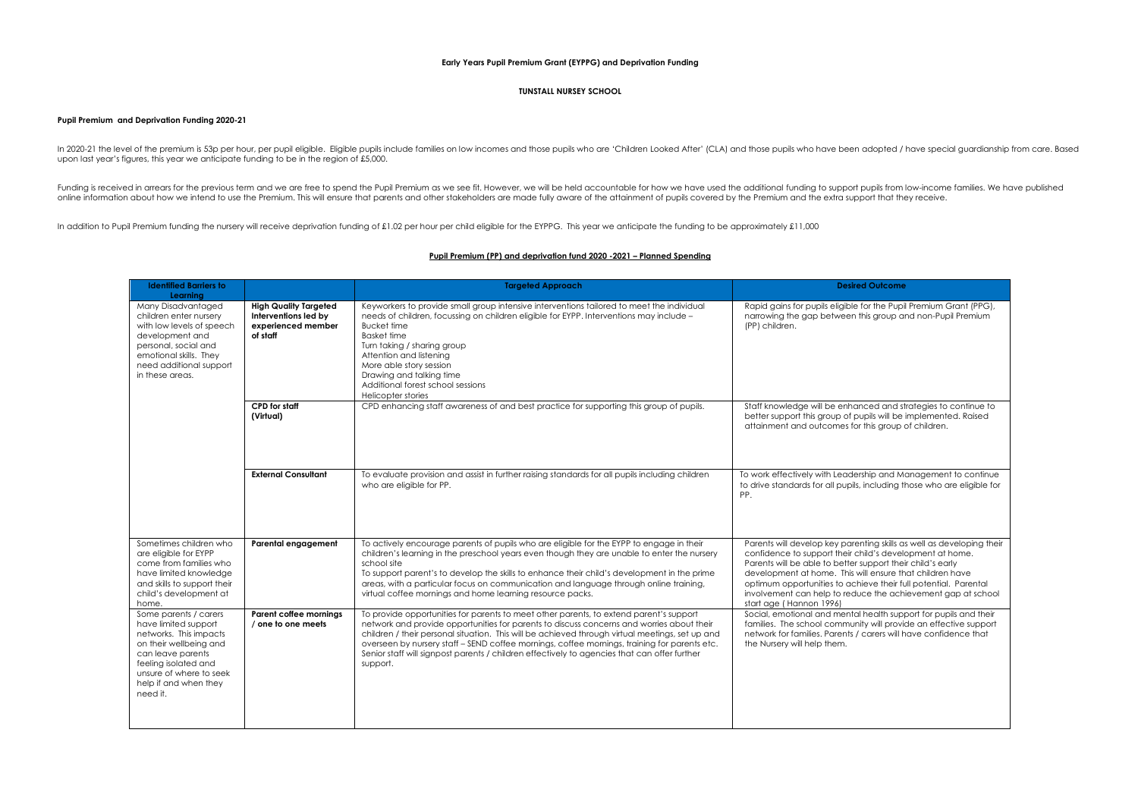## **Early Years Pupil Premium Grant (EYPPG) and Deprivation Funding**

## **TUNSTALL NURSEY SCHOOL**

## **Pupil Premium and Deprivation Funding 2020-21**

In 2020-21 the level of the premium is 53p per hour, per pupil eligible. Eligible pupils include families on low incomes and those pupils who are 'Children Looked After' (CLA) and those pupils who have been adopted / have upon last year's figures, this year we anticipate funding to be in the region of £5,000.

Funding is received in arrears for the previous term and we are free to spend the Pupil Premium as we see fit. However, we will be held accountable for how we have used the additional funding to support pupils from low-inc

In addition to Pupil Premium funding the nursery will receive deprivation funding of £1.02 per hour per child eligible for the EYPPG. This year we anticipate the funding to be approximately £11,000

## **Pupil Premium (PP) and deprivation fund 2020 -2021 – Planned Spending**

| <b>Identified Barriers to</b><br>Learning                                                                                                                                                                      |                                                                                        | <b>Targeted Approach</b>                                                                                                                                                                                                                                                                                                                                                                                                                                                                           | <b>Desired Outcome</b>                                                                                                                                                                                                                                                                                                                                                                                                    |
|----------------------------------------------------------------------------------------------------------------------------------------------------------------------------------------------------------------|----------------------------------------------------------------------------------------|----------------------------------------------------------------------------------------------------------------------------------------------------------------------------------------------------------------------------------------------------------------------------------------------------------------------------------------------------------------------------------------------------------------------------------------------------------------------------------------------------|---------------------------------------------------------------------------------------------------------------------------------------------------------------------------------------------------------------------------------------------------------------------------------------------------------------------------------------------------------------------------------------------------------------------------|
| Many Disadvantaged<br>children enter nurserv<br>with low levels of speech<br>development and<br>personal, social and<br>emotional skills. They<br>need additional support<br>in these areas.                   | <b>High Quality Targeted</b><br>Interventions led by<br>experienced member<br>of staff | Keyworkers to provide small group intensive interventions tailored to meet the individual<br>needs of children, focussing on children eligible for EYPP. Interventions may include -<br><b>Bucket time</b><br><b>Basket time</b><br>Turn taking / sharing group<br>Attention and listening<br>More able story session<br>Drawing and talking time<br>Additional forest school sessions<br>Helicopter stories                                                                                       | Rapid gains for pupils eligible for the Pupil Premium Grant (PPG),<br>narrowing the gap between this group and non-Pupil Premium<br>(PP) children.                                                                                                                                                                                                                                                                        |
|                                                                                                                                                                                                                | <b>CPD</b> for staff<br>(Virtual)                                                      | CPD enhancing staff awareness of and best practice for supporting this group of pupils.                                                                                                                                                                                                                                                                                                                                                                                                            | Staff knowledge will be enhanced and strategies to continue to<br>better support this group of pupils will be implemented. Raised<br>attainment and outcomes for this group of children.                                                                                                                                                                                                                                  |
|                                                                                                                                                                                                                | <b>External Consultant</b>                                                             | To evaluate provision and assist in further raising standards for all pupils including children<br>who are eligible for PP.                                                                                                                                                                                                                                                                                                                                                                        | To work effectively with Leadership and Management to continue<br>to drive standards for all pupils, including those who are eligible for<br>PP.                                                                                                                                                                                                                                                                          |
| Sometimes children who<br>are eligible for EYPP<br>come from families who<br>have limited knowledge<br>and skills to support their<br>child's development at<br>home.                                          | Parental engagement                                                                    | To actively encourage parents of pupils who are eligible for the EYPP to engage in their<br>children's learning in the preschool years even though they are unable to enter the nursery<br>school site<br>To support parent's to develop the skills to enhance their child's development in the prime<br>areas, with a particular focus on communication and language through online training,<br>virtual coffee mornings and home learning resource packs.                                        | Parents will develop key parenting skills as well as developing their<br>confidence to support their child's development at home.<br>Parents will be able to better support their child's early<br>development at home. This will ensure that children have<br>optimum opportunities to achieve their full potential. Parental<br>involvement can help to reduce the achievement gap at school<br>start age (Hannon 1996) |
| Some parents / carers<br>have limited support<br>networks. This impacts<br>on their wellbeing and<br>can leave parents<br>feeling isolated and<br>unsure of where to seek<br>help if and when they<br>need it. | Parent coffee mornings<br>/ one to one meets                                           | To provide opportunities for parents to meet other parents, to extend parent's support<br>network and provide opportunities for parents to discuss concerns and worries about their<br>children / their personal situation. This will be achieved through virtual meetings, set up and<br>overseen by nursery staff - SEND coffee mornings, coffee mornings, training for parents etc.<br>Senior staff will signpost parents / children effectively to agencies that can offer further<br>support. | Social, emotional and mental health support for pupils and their<br>families. The school community will provide an effective support<br>network for families. Parents / carers will have confidence that<br>the Nursery will help them.                                                                                                                                                                                   |